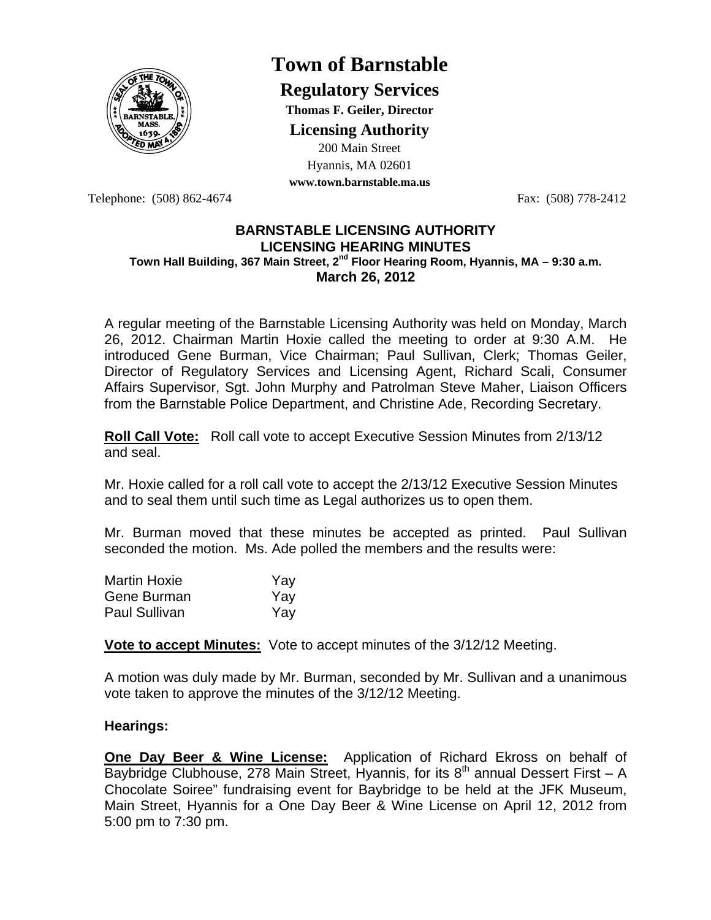

# **Town of Barnstable**

**Regulatory Services**

**Thomas F. Geiler, Director** 

**Licensing Authority**

200 Main Street Hyannis, MA 02601

**www.town.barnstable.ma.us**

Telephone: (508) 862-4674 Fax: (508) 778-2412

#### **BARNSTABLE LICENSING AUTHORITY LICENSING HEARING MINUTES Town Hall Building, 367 Main Street, 2nd Floor Hearing Room, Hyannis, MA – 9:30 a.m. March 26, 2012**

A regular meeting of the Barnstable Licensing Authority was held on Monday, March 26, 2012. Chairman Martin Hoxie called the meeting to order at 9:30 A.M. He introduced Gene Burman, Vice Chairman; Paul Sullivan, Clerk; Thomas Geiler, Director of Regulatory Services and Licensing Agent, Richard Scali, Consumer Affairs Supervisor, Sgt. John Murphy and Patrolman Steve Maher, Liaison Officers from the Barnstable Police Department, and Christine Ade, Recording Secretary.

**Roll Call Vote:** Roll call vote to accept Executive Session Minutes from 2/13/12 and seal.

Mr. Hoxie called for a roll call vote to accept the 2/13/12 Executive Session Minutes and to seal them until such time as Legal authorizes us to open them.

Mr. Burman moved that these minutes be accepted as printed. Paul Sullivan seconded the motion. Ms. Ade polled the members and the results were:

| <b>Martin Hoxie</b>  | Yav |
|----------------------|-----|
| Gene Burman          | Yav |
| <b>Paul Sullivan</b> | Yav |

**Vote to accept Minutes:** Vote to accept minutes of the 3/12/12 Meeting.

A motion was duly made by Mr. Burman, seconded by Mr. Sullivan and a unanimous vote taken to approve the minutes of the 3/12/12 Meeting.

# **Hearings:**

**One Day Beer & Wine License:** Application of Richard Ekross on behalf of Baybridge Clubhouse, 278 Main Street, Hyannis, for its  $8<sup>th</sup>$  annual Dessert First – A Chocolate Soiree" fundraising event for Baybridge to be held at the JFK Museum, Main Street, Hyannis for a One Day Beer & Wine License on April 12, 2012 from 5:00 pm to 7:30 pm.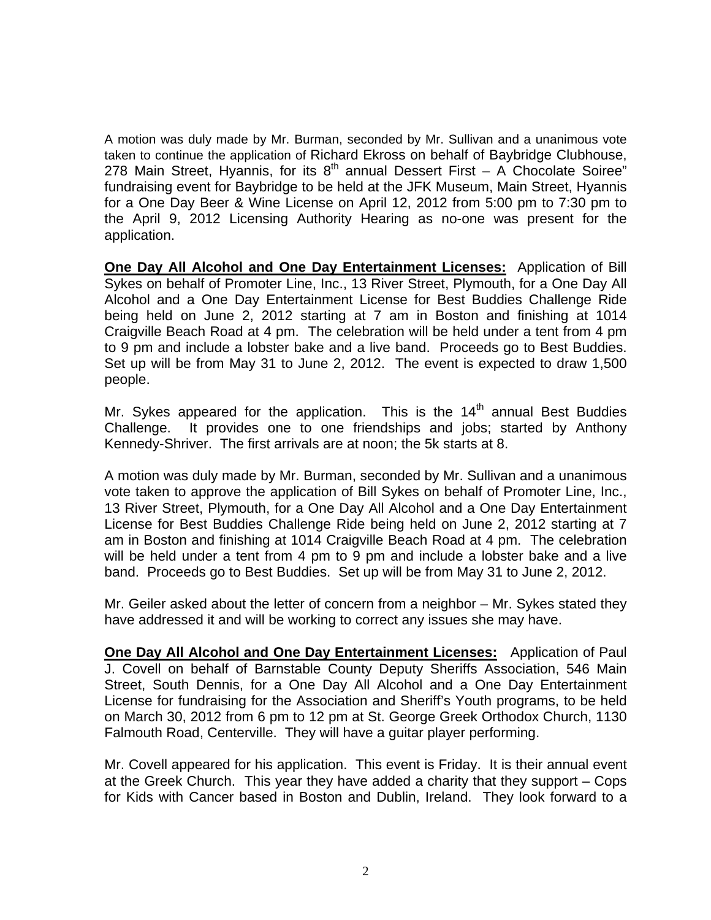A motion was duly made by Mr. Burman, seconded by Mr. Sullivan and a unanimous vote taken to continue the application of Richard Ekross on behalf of Baybridge Clubhouse, 278 Main Street, Hyannis, for its  $8<sup>th</sup>$  annual Dessert First – A Chocolate Soiree" fundraising event for Baybridge to be held at the JFK Museum, Main Street, Hyannis for a One Day Beer & Wine License on April 12, 2012 from 5:00 pm to 7:30 pm to the April 9, 2012 Licensing Authority Hearing as no-one was present for the application.

**One Day All Alcohol and One Day Entertainment Licenses:** Application of Bill Sykes on behalf of Promoter Line, Inc., 13 River Street, Plymouth, for a One Day All Alcohol and a One Day Entertainment License for Best Buddies Challenge Ride being held on June 2, 2012 starting at 7 am in Boston and finishing at 1014 Craigville Beach Road at 4 pm. The celebration will be held under a tent from 4 pm to 9 pm and include a lobster bake and a live band. Proceeds go to Best Buddies. Set up will be from May 31 to June 2, 2012. The event is expected to draw 1,500 people.

Mr. Sykes appeared for the application. This is the  $14<sup>th</sup>$  annual Best Buddies Challenge. It provides one to one friendships and jobs; started by Anthony Kennedy-Shriver. The first arrivals are at noon; the 5k starts at 8.

A motion was duly made by Mr. Burman, seconded by Mr. Sullivan and a unanimous vote taken to approve the application of Bill Sykes on behalf of Promoter Line, Inc., 13 River Street, Plymouth, for a One Day All Alcohol and a One Day Entertainment License for Best Buddies Challenge Ride being held on June 2, 2012 starting at 7 am in Boston and finishing at 1014 Craigville Beach Road at 4 pm. The celebration will be held under a tent from 4 pm to 9 pm and include a lobster bake and a live band. Proceeds go to Best Buddies. Set up will be from May 31 to June 2, 2012.

Mr. Geiler asked about the letter of concern from a neighbor – Mr. Sykes stated they have addressed it and will be working to correct any issues she may have.

**One Day All Alcohol and One Day Entertainment Licenses:** Application of Paul J. Covell on behalf of Barnstable County Deputy Sheriffs Association, 546 Main Street, South Dennis, for a One Day All Alcohol and a One Day Entertainment License for fundraising for the Association and Sheriff's Youth programs, to be held on March 30, 2012 from 6 pm to 12 pm at St. George Greek Orthodox Church, 1130 Falmouth Road, Centerville. They will have a guitar player performing.

Mr. Covell appeared for his application. This event is Friday. It is their annual event at the Greek Church. This year they have added a charity that they support – Cops for Kids with Cancer based in Boston and Dublin, Ireland. They look forward to a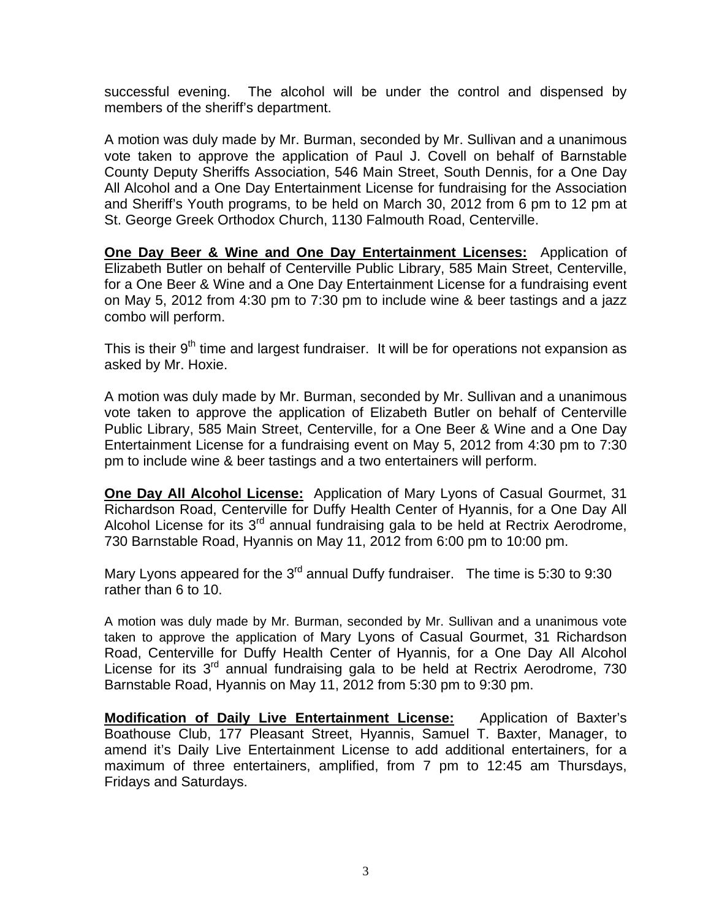successful evening. The alcohol will be under the control and dispensed by members of the sheriff's department.

A motion was duly made by Mr. Burman, seconded by Mr. Sullivan and a unanimous vote taken to approve the application of Paul J. Covell on behalf of Barnstable County Deputy Sheriffs Association, 546 Main Street, South Dennis, for a One Day All Alcohol and a One Day Entertainment License for fundraising for the Association and Sheriff's Youth programs, to be held on March 30, 2012 from 6 pm to 12 pm at St. George Greek Orthodox Church, 1130 Falmouth Road, Centerville.

**One Day Beer & Wine and One Day Entertainment Licenses:** Application of Elizabeth Butler on behalf of Centerville Public Library, 585 Main Street, Centerville, for a One Beer & Wine and a One Day Entertainment License for a fundraising event on May 5, 2012 from 4:30 pm to 7:30 pm to include wine & beer tastings and a jazz combo will perform.

This is their 9<sup>th</sup> time and largest fundraiser. It will be for operations not expansion as asked by Mr. Hoxie.

A motion was duly made by Mr. Burman, seconded by Mr. Sullivan and a unanimous vote taken to approve the application of Elizabeth Butler on behalf of Centerville Public Library, 585 Main Street, Centerville, for a One Beer & Wine and a One Day Entertainment License for a fundraising event on May 5, 2012 from 4:30 pm to 7:30 pm to include wine & beer tastings and a two entertainers will perform.

**One Day All Alcohol License:** Application of Mary Lyons of Casual Gourmet, 31 Richardson Road, Centerville for Duffy Health Center of Hyannis, for a One Day All Alcohol License for its  $3<sup>rd</sup>$  annual fundraising gala to be held at Rectrix Aerodrome, 730 Barnstable Road, Hyannis on May 11, 2012 from 6:00 pm to 10:00 pm.

Mary Lyons appeared for the 3<sup>rd</sup> annual Duffy fundraiser. The time is 5:30 to 9:30 rather than 6 to 10.

A motion was duly made by Mr. Burman, seconded by Mr. Sullivan and a unanimous vote taken to approve the application of Mary Lyons of Casual Gourmet, 31 Richardson Road, Centerville for Duffy Health Center of Hyannis, for a One Day All Alcohol License for its 3<sup>rd</sup> annual fundraising gala to be held at Rectrix Aerodrome, 730 Barnstable Road, Hyannis on May 11, 2012 from 5:30 pm to 9:30 pm.

**Modification of Daily Live Entertainment License:** Application of Baxter's Boathouse Club, 177 Pleasant Street, Hyannis, Samuel T. Baxter, Manager, to amend it's Daily Live Entertainment License to add additional entertainers, for a maximum of three entertainers, amplified, from 7 pm to 12:45 am Thursdays, Fridays and Saturdays.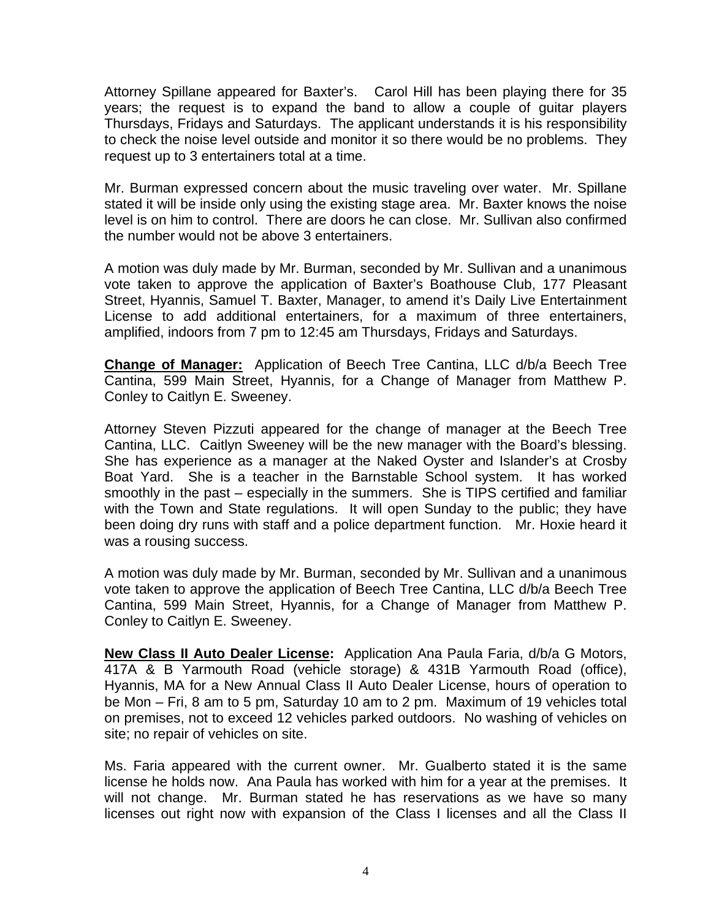Attorney Spillane appeared for Baxter's. Carol Hill has been playing there for 35 years; the request is to expand the band to allow a couple of guitar players Thursdays, Fridays and Saturdays. The applicant understands it is his responsibility to check the noise level outside and monitor it so there would be no problems. They request up to 3 entertainers total at a time.

Mr. Burman expressed concern about the music traveling over water. Mr. Spillane stated it will be inside only using the existing stage area. Mr. Baxter knows the noise level is on him to control. There are doors he can close. Mr. Sullivan also confirmed the number would not be above 3 entertainers.

A motion was duly made by Mr. Burman, seconded by Mr. Sullivan and a unanimous vote taken to approve the application of Baxter's Boathouse Club, 177 Pleasant Street, Hyannis, Samuel T. Baxter, Manager, to amend it's Daily Live Entertainment License to add additional entertainers, for a maximum of three entertainers, amplified, indoors from 7 pm to 12:45 am Thursdays, Fridays and Saturdays.

**Change of Manager:** Application of Beech Tree Cantina, LLC d/b/a Beech Tree Cantina, 599 Main Street, Hyannis, for a Change of Manager from Matthew P. Conley to Caitlyn E. Sweeney.

Attorney Steven Pizzuti appeared for the change of manager at the Beech Tree Cantina, LLC. Caitlyn Sweeney will be the new manager with the Board's blessing. She has experience as a manager at the Naked Oyster and Islander's at Crosby Boat Yard. She is a teacher in the Barnstable School system. It has worked smoothly in the past – especially in the summers. She is TIPS certified and familiar with the Town and State regulations. It will open Sunday to the public; they have been doing dry runs with staff and a police department function. Mr. Hoxie heard it was a rousing success.

A motion was duly made by Mr. Burman, seconded by Mr. Sullivan and a unanimous vote taken to approve the application of Beech Tree Cantina, LLC d/b/a Beech Tree Cantina, 599 Main Street, Hyannis, for a Change of Manager from Matthew P. Conley to Caitlyn E. Sweeney.

**New Class II Auto Dealer License:** Application Ana Paula Faria, d/b/a G Motors, 417A & B Yarmouth Road (vehicle storage) & 431B Yarmouth Road (office), Hyannis, MA for a New Annual Class II Auto Dealer License, hours of operation to be Mon – Fri, 8 am to 5 pm, Saturday 10 am to 2 pm. Maximum of 19 vehicles total on premises, not to exceed 12 vehicles parked outdoors. No washing of vehicles on site; no repair of vehicles on site.

Ms. Faria appeared with the current owner. Mr. Gualberto stated it is the same license he holds now. Ana Paula has worked with him for a year at the premises. It will not change. Mr. Burman stated he has reservations as we have so many licenses out right now with expansion of the Class I licenses and all the Class II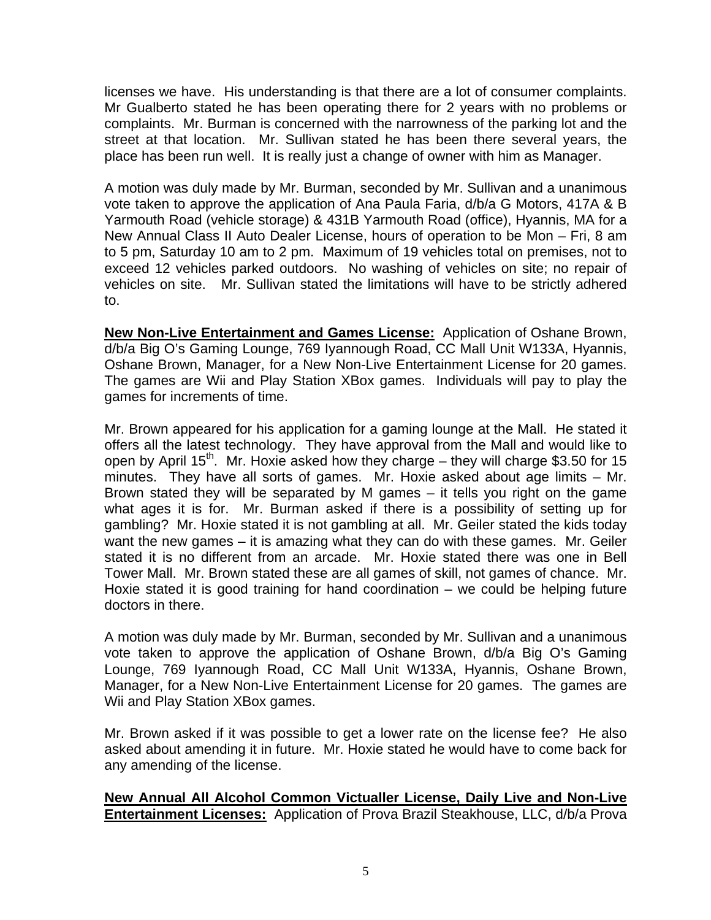licenses we have. His understanding is that there are a lot of consumer complaints. Mr Gualberto stated he has been operating there for 2 years with no problems or complaints. Mr. Burman is concerned with the narrowness of the parking lot and the street at that location. Mr. Sullivan stated he has been there several years, the place has been run well. It is really just a change of owner with him as Manager.

A motion was duly made by Mr. Burman, seconded by Mr. Sullivan and a unanimous vote taken to approve the application of Ana Paula Faria, d/b/a G Motors, 417A & B Yarmouth Road (vehicle storage) & 431B Yarmouth Road (office), Hyannis, MA for a New Annual Class II Auto Dealer License, hours of operation to be Mon – Fri, 8 am to 5 pm, Saturday 10 am to 2 pm. Maximum of 19 vehicles total on premises, not to exceed 12 vehicles parked outdoors. No washing of vehicles on site; no repair of vehicles on site. Mr. Sullivan stated the limitations will have to be strictly adhered to.

**New Non-Live Entertainment and Games License:** Application of Oshane Brown, d/b/a Big O's Gaming Lounge, 769 Iyannough Road, CC Mall Unit W133A, Hyannis, Oshane Brown, Manager, for a New Non-Live Entertainment License for 20 games. The games are Wii and Play Station XBox games. Individuals will pay to play the games for increments of time.

Mr. Brown appeared for his application for a gaming lounge at the Mall. He stated it offers all the latest technology. They have approval from the Mall and would like to open by April  $15^{th}$ . Mr. Hoxie asked how they charge – they will charge \$3.50 for 15 minutes. They have all sorts of games. Mr. Hoxie asked about age limits – Mr. Brown stated they will be separated by M games – it tells you right on the game what ages it is for. Mr. Burman asked if there is a possibility of setting up for gambling? Mr. Hoxie stated it is not gambling at all. Mr. Geiler stated the kids today want the new games – it is amazing what they can do with these games. Mr. Geiler stated it is no different from an arcade. Mr. Hoxie stated there was one in Bell Tower Mall. Mr. Brown stated these are all games of skill, not games of chance. Mr. Hoxie stated it is good training for hand coordination – we could be helping future doctors in there.

A motion was duly made by Mr. Burman, seconded by Mr. Sullivan and a unanimous vote taken to approve the application of Oshane Brown, d/b/a Big O's Gaming Lounge, 769 Iyannough Road, CC Mall Unit W133A, Hyannis, Oshane Brown, Manager, for a New Non-Live Entertainment License for 20 games. The games are Wii and Play Station XBox games.

Mr. Brown asked if it was possible to get a lower rate on the license fee? He also asked about amending it in future. Mr. Hoxie stated he would have to come back for any amending of the license.

# **New Annual All Alcohol Common Victualler License, Daily Live and Non-Live Entertainment Licenses:** Application of Prova Brazil Steakhouse, LLC, d/b/a Prova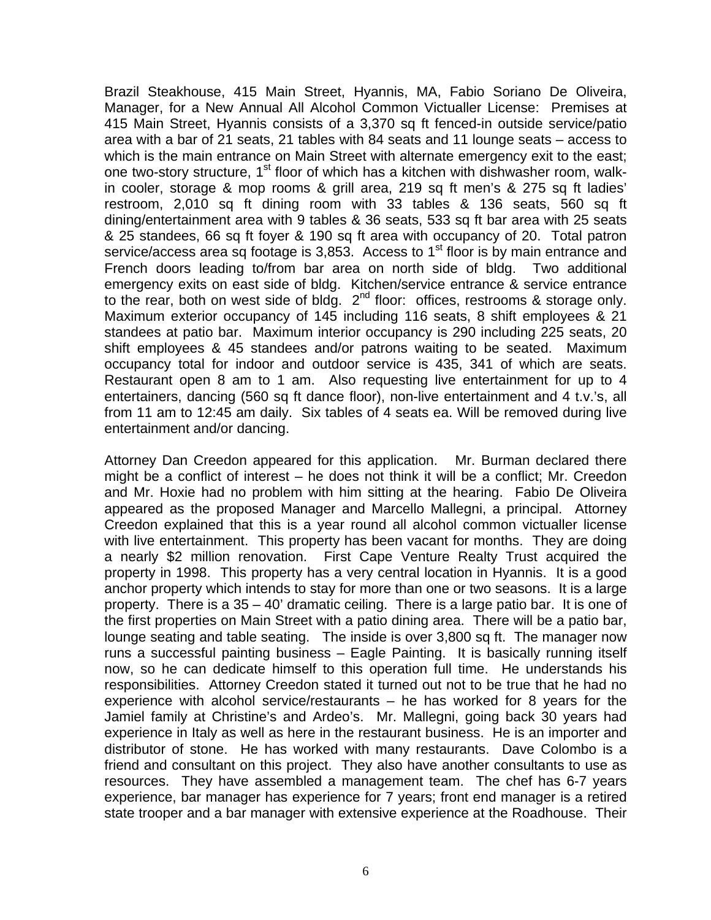Brazil Steakhouse, 415 Main Street, Hyannis, MA, Fabio Soriano De Oliveira, Manager, for a New Annual All Alcohol Common Victualler License: Premises at 415 Main Street, Hyannis consists of a 3,370 sq ft fenced-in outside service/patio area with a bar of 21 seats, 21 tables with 84 seats and 11 lounge seats – access to which is the main entrance on Main Street with alternate emergency exit to the east; one two-story structure, 1<sup>st</sup> floor of which has a kitchen with dishwasher room, walkin cooler, storage & mop rooms & grill area, 219 sq ft men's & 275 sq ft ladies' restroom, 2,010 sq ft dining room with 33 tables & 136 seats, 560 sq ft dining/entertainment area with 9 tables & 36 seats, 533 sq ft bar area with 25 seats & 25 standees, 66 sq ft foyer & 190 sq ft area with occupancy of 20. Total patron service/access area sq footage is 3,853. Access to  $1<sup>st</sup>$  floor is by main entrance and French doors leading to/from bar area on north side of bldg. Two additional emergency exits on east side of bldg. Kitchen/service entrance & service entrance to the rear, both on west side of bldg.  $2<sup>nd</sup>$  floor: offices, restrooms & storage only. Maximum exterior occupancy of 145 including 116 seats, 8 shift employees & 21 standees at patio bar. Maximum interior occupancy is 290 including 225 seats, 20 shift employees & 45 standees and/or patrons waiting to be seated. Maximum occupancy total for indoor and outdoor service is 435, 341 of which are seats. Restaurant open 8 am to 1 am. Also requesting live entertainment for up to 4 entertainers, dancing (560 sq ft dance floor), non-live entertainment and 4 t.v.'s, all from 11 am to 12:45 am daily. Six tables of 4 seats ea. Will be removed during live entertainment and/or dancing.

Attorney Dan Creedon appeared for this application. Mr. Burman declared there might be a conflict of interest – he does not think it will be a conflict; Mr. Creedon and Mr. Hoxie had no problem with him sitting at the hearing. Fabio De Oliveira appeared as the proposed Manager and Marcello Mallegni, a principal. Attorney Creedon explained that this is a year round all alcohol common victualler license with live entertainment. This property has been vacant for months. They are doing a nearly \$2 million renovation. First Cape Venture Realty Trust acquired the property in 1998. This property has a very central location in Hyannis. It is a good anchor property which intends to stay for more than one or two seasons. It is a large property. There is a 35 – 40' dramatic ceiling. There is a large patio bar. It is one of the first properties on Main Street with a patio dining area. There will be a patio bar, lounge seating and table seating. The inside is over 3,800 sq ft. The manager now runs a successful painting business – Eagle Painting. It is basically running itself now, so he can dedicate himself to this operation full time. He understands his responsibilities. Attorney Creedon stated it turned out not to be true that he had no experience with alcohol service/restaurants – he has worked for 8 years for the Jamiel family at Christine's and Ardeo's. Mr. Mallegni, going back 30 years had experience in Italy as well as here in the restaurant business. He is an importer and distributor of stone. He has worked with many restaurants. Dave Colombo is a friend and consultant on this project. They also have another consultants to use as resources. They have assembled a management team. The chef has 6-7 years experience, bar manager has experience for 7 years; front end manager is a retired state trooper and a bar manager with extensive experience at the Roadhouse. Their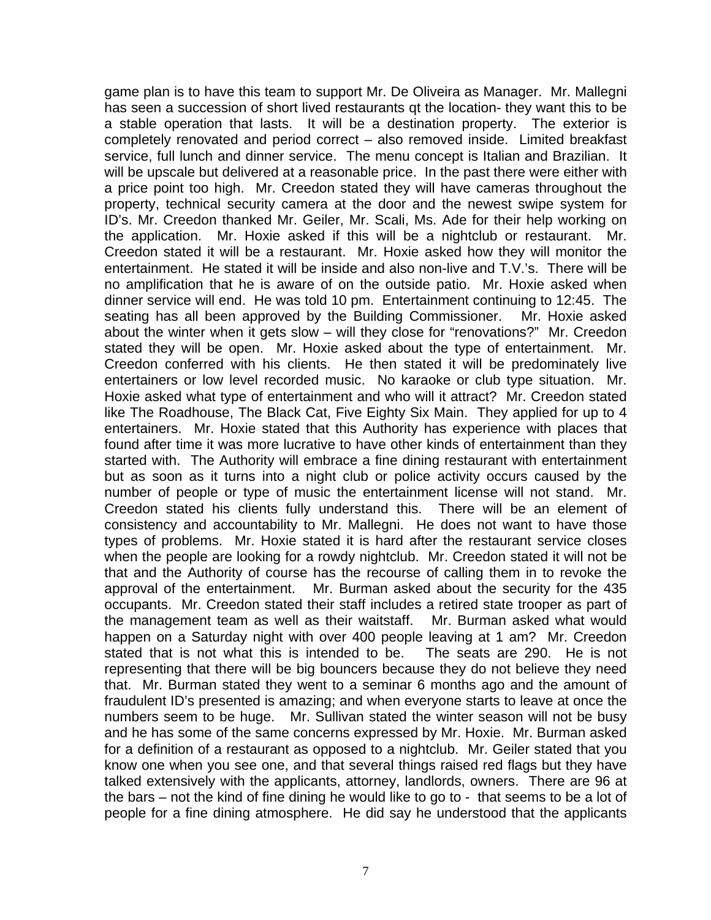game plan is to have this team to support Mr. De Oliveira as Manager. Mr. Mallegni has seen a succession of short lived restaurants qt the location- they want this to be a stable operation that lasts. It will be a destination property. The exterior is completely renovated and period correct – also removed inside. Limited breakfast service, full lunch and dinner service. The menu concept is Italian and Brazilian. It will be upscale but delivered at a reasonable price. In the past there were either with a price point too high. Mr. Creedon stated they will have cameras throughout the property, technical security camera at the door and the newest swipe system for ID's. Mr. Creedon thanked Mr. Geiler, Mr. Scali, Ms. Ade for their help working on the application. Mr. Hoxie asked if this will be a nightclub or restaurant. Mr. Creedon stated it will be a restaurant. Mr. Hoxie asked how they will monitor the entertainment. He stated it will be inside and also non-live and T.V.'s. There will be no amplification that he is aware of on the outside patio. Mr. Hoxie asked when dinner service will end. He was told 10 pm. Entertainment continuing to 12:45. The seating has all been approved by the Building Commissioner. Mr. Hoxie asked about the winter when it gets slow – will they close for "renovations?" Mr. Creedon stated they will be open. Mr. Hoxie asked about the type of entertainment. Mr. Creedon conferred with his clients. He then stated it will be predominately live entertainers or low level recorded music. No karaoke or club type situation. Mr. Hoxie asked what type of entertainment and who will it attract? Mr. Creedon stated like The Roadhouse, The Black Cat, Five Eighty Six Main. They applied for up to 4 entertainers. Mr. Hoxie stated that this Authority has experience with places that found after time it was more lucrative to have other kinds of entertainment than they started with. The Authority will embrace a fine dining restaurant with entertainment but as soon as it turns into a night club or police activity occurs caused by the number of people or type of music the entertainment license will not stand. Mr. Creedon stated his clients fully understand this. There will be an element of consistency and accountability to Mr. Mallegni. He does not want to have those types of problems. Mr. Hoxie stated it is hard after the restaurant service closes when the people are looking for a rowdy nightclub. Mr. Creedon stated it will not be that and the Authority of course has the recourse of calling them in to revoke the approval of the entertainment. Mr. Burman asked about the security for the 435 occupants. Mr. Creedon stated their staff includes a retired state trooper as part of the management team as well as their waitstaff. Mr. Burman asked what would happen on a Saturday night with over 400 people leaving at 1 am? Mr. Creedon stated that is not what this is intended to be. The seats are 290. He is not representing that there will be big bouncers because they do not believe they need that. Mr. Burman stated they went to a seminar 6 months ago and the amount of fraudulent ID's presented is amazing; and when everyone starts to leave at once the numbers seem to be huge. Mr. Sullivan stated the winter season will not be busy and he has some of the same concerns expressed by Mr. Hoxie. Mr. Burman asked for a definition of a restaurant as opposed to a nightclub. Mr. Geiler stated that you know one when you see one, and that several things raised red flags but they have talked extensively with the applicants, attorney, landlords, owners. There are 96 at the bars – not the kind of fine dining he would like to go to - that seems to be a lot of people for a fine dining atmosphere. He did say he understood that the applicants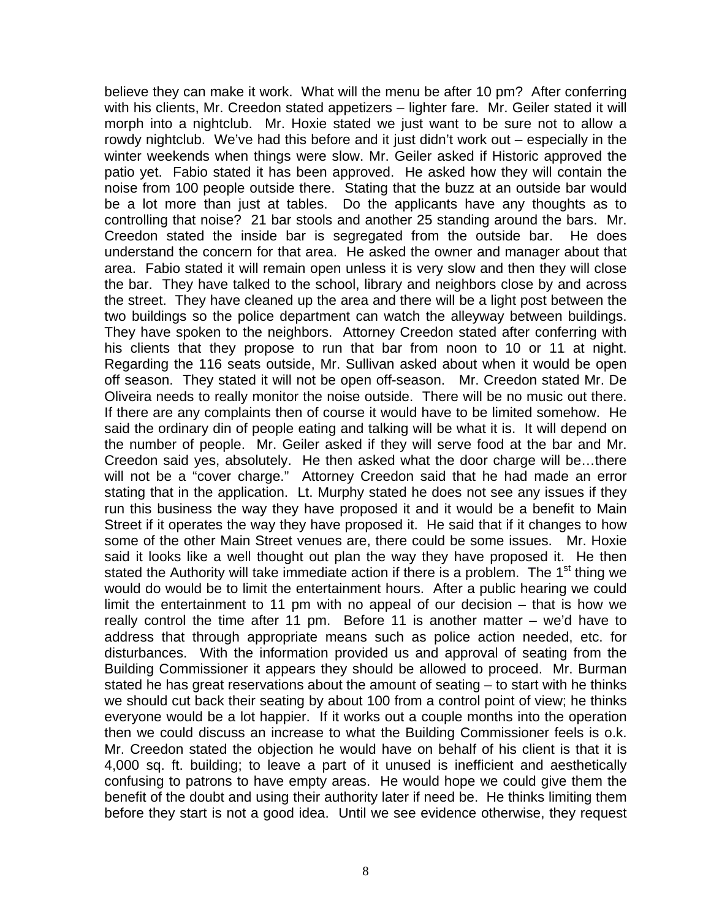believe they can make it work. What will the menu be after 10 pm? After conferring with his clients, Mr. Creedon stated appetizers - lighter fare. Mr. Geiler stated it will morph into a nightclub. Mr. Hoxie stated we just want to be sure not to allow a rowdy nightclub. We've had this before and it just didn't work out – especially in the winter weekends when things were slow. Mr. Geiler asked if Historic approved the patio yet. Fabio stated it has been approved. He asked how they will contain the noise from 100 people outside there. Stating that the buzz at an outside bar would be a lot more than just at tables. Do the applicants have any thoughts as to controlling that noise? 21 bar stools and another 25 standing around the bars. Mr. Creedon stated the inside bar is segregated from the outside bar. He does understand the concern for that area. He asked the owner and manager about that area. Fabio stated it will remain open unless it is very slow and then they will close the bar. They have talked to the school, library and neighbors close by and across the street. They have cleaned up the area and there will be a light post between the two buildings so the police department can watch the alleyway between buildings. They have spoken to the neighbors. Attorney Creedon stated after conferring with his clients that they propose to run that bar from noon to 10 or 11 at night. Regarding the 116 seats outside, Mr. Sullivan asked about when it would be open off season. They stated it will not be open off-season. Mr. Creedon stated Mr. De Oliveira needs to really monitor the noise outside. There will be no music out there. If there are any complaints then of course it would have to be limited somehow. He said the ordinary din of people eating and talking will be what it is. It will depend on the number of people. Mr. Geiler asked if they will serve food at the bar and Mr. Creedon said yes, absolutely. He then asked what the door charge will be…there will not be a "cover charge." Attorney Creedon said that he had made an error stating that in the application. Lt. Murphy stated he does not see any issues if they run this business the way they have proposed it and it would be a benefit to Main Street if it operates the way they have proposed it. He said that if it changes to how some of the other Main Street venues are, there could be some issues. Mr. Hoxie said it looks like a well thought out plan the way they have proposed it. He then stated the Authority will take immediate action if there is a problem. The 1<sup>st</sup> thing we would do would be to limit the entertainment hours. After a public hearing we could limit the entertainment to 11 pm with no appeal of our decision – that is how we really control the time after 11 pm. Before 11 is another matter – we'd have to address that through appropriate means such as police action needed, etc. for disturbances. With the information provided us and approval of seating from the Building Commissioner it appears they should be allowed to proceed. Mr. Burman stated he has great reservations about the amount of seating – to start with he thinks we should cut back their seating by about 100 from a control point of view; he thinks everyone would be a lot happier. If it works out a couple months into the operation then we could discuss an increase to what the Building Commissioner feels is o.k. Mr. Creedon stated the objection he would have on behalf of his client is that it is 4,000 sq. ft. building; to leave a part of it unused is inefficient and aesthetically confusing to patrons to have empty areas. He would hope we could give them the benefit of the doubt and using their authority later if need be. He thinks limiting them before they start is not a good idea. Until we see evidence otherwise, they request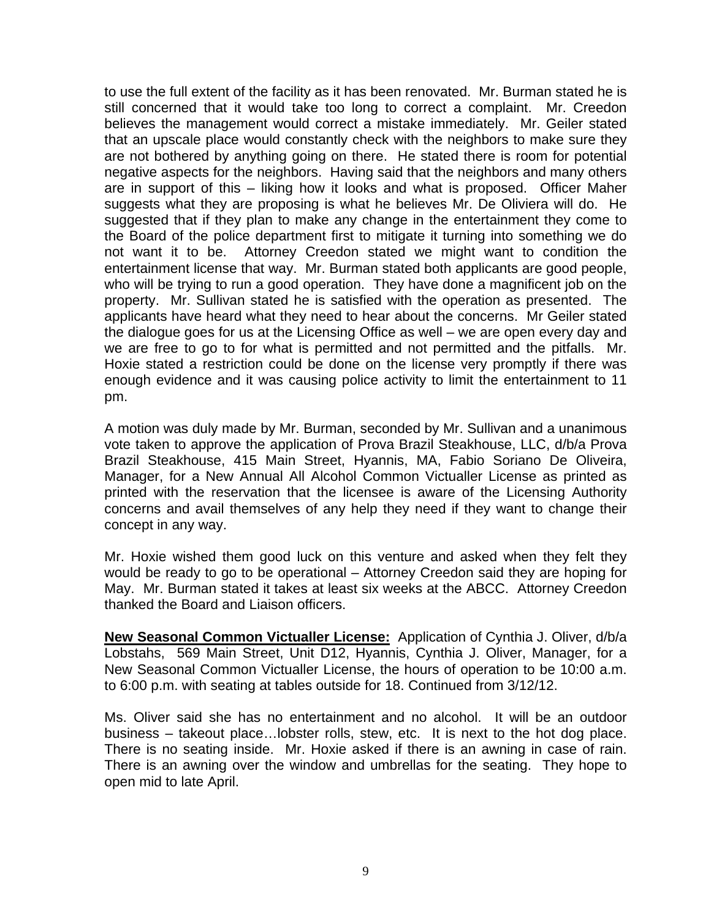to use the full extent of the facility as it has been renovated. Mr. Burman stated he is still concerned that it would take too long to correct a complaint. Mr. Creedon believes the management would correct a mistake immediately. Mr. Geiler stated that an upscale place would constantly check with the neighbors to make sure they are not bothered by anything going on there. He stated there is room for potential negative aspects for the neighbors. Having said that the neighbors and many others are in support of this – liking how it looks and what is proposed. Officer Maher suggests what they are proposing is what he believes Mr. De Oliviera will do. He suggested that if they plan to make any change in the entertainment they come to the Board of the police department first to mitigate it turning into something we do not want it to be. Attorney Creedon stated we might want to condition the entertainment license that way. Mr. Burman stated both applicants are good people, who will be trying to run a good operation. They have done a magnificent job on the property. Mr. Sullivan stated he is satisfied with the operation as presented. The applicants have heard what they need to hear about the concerns. Mr Geiler stated the dialogue goes for us at the Licensing Office as well – we are open every day and we are free to go to for what is permitted and not permitted and the pitfalls. Mr. Hoxie stated a restriction could be done on the license very promptly if there was enough evidence and it was causing police activity to limit the entertainment to 11 pm.

A motion was duly made by Mr. Burman, seconded by Mr. Sullivan and a unanimous vote taken to approve the application of Prova Brazil Steakhouse, LLC, d/b/a Prova Brazil Steakhouse, 415 Main Street, Hyannis, MA, Fabio Soriano De Oliveira, Manager, for a New Annual All Alcohol Common Victualler License as printed as printed with the reservation that the licensee is aware of the Licensing Authority concerns and avail themselves of any help they need if they want to change their concept in any way.

Mr. Hoxie wished them good luck on this venture and asked when they felt they would be ready to go to be operational – Attorney Creedon said they are hoping for May. Mr. Burman stated it takes at least six weeks at the ABCC. Attorney Creedon thanked the Board and Liaison officers.

**New Seasonal Common Victualler License:** Application of Cynthia J. Oliver, d/b/a Lobstahs, 569 Main Street, Unit D12, Hyannis, Cynthia J. Oliver, Manager, for a New Seasonal Common Victualler License, the hours of operation to be 10:00 a.m. to 6:00 p.m. with seating at tables outside for 18. Continued from 3/12/12.

Ms. Oliver said she has no entertainment and no alcohol. It will be an outdoor business – takeout place…lobster rolls, stew, etc. It is next to the hot dog place. There is no seating inside. Mr. Hoxie asked if there is an awning in case of rain. There is an awning over the window and umbrellas for the seating. They hope to open mid to late April.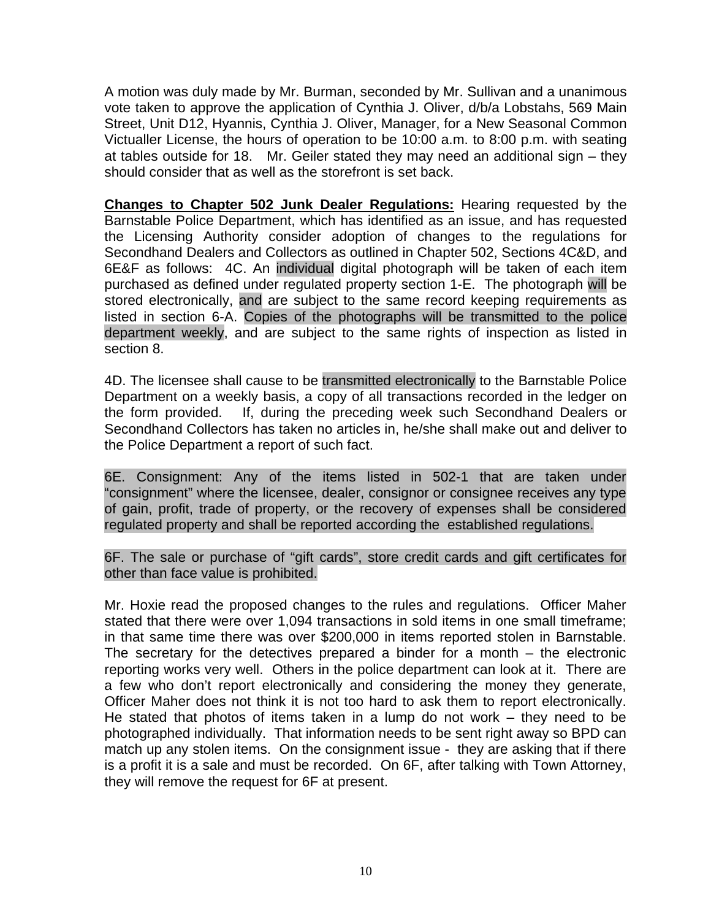A motion was duly made by Mr. Burman, seconded by Mr. Sullivan and a unanimous vote taken to approve the application of Cynthia J. Oliver, d/b/a Lobstahs, 569 Main Street, Unit D12, Hyannis, Cynthia J. Oliver, Manager, for a New Seasonal Common Victualler License, the hours of operation to be 10:00 a.m. to 8:00 p.m. with seating at tables outside for 18. Mr. Geiler stated they may need an additional sign – they should consider that as well as the storefront is set back.

**Changes to Chapter 502 Junk Dealer Regulations:** Hearing requested by the Barnstable Police Department, which has identified as an issue, and has requested the Licensing Authority consider adoption of changes to the regulations for Secondhand Dealers and Collectors as outlined in Chapter 502, Sections 4C&D, and 6E&F as follows: 4C. An individual digital photograph will be taken of each item purchased as defined under regulated property section 1-E. The photograph will be stored electronically, and are subject to the same record keeping requirements as listed in section 6-A. Copies of the photographs will be transmitted to the police department weekly, and are subject to the same rights of inspection as listed in section 8.

4D. The licensee shall cause to be transmitted electronically to the Barnstable Police Department on a weekly basis, a copy of all transactions recorded in the ledger on the form provided. If, during the preceding week such Secondhand Dealers or Secondhand Collectors has taken no articles in, he/she shall make out and deliver to the Police Department a report of such fact.

6E. Consignment: Any of the items listed in 502-1 that are taken under "consignment" where the licensee, dealer, consignor or consignee receives any type of gain, profit, trade of property, or the recovery of expenses shall be considered regulated property and shall be reported according the established regulations.

6F. The sale or purchase of "gift cards", store credit cards and gift certificates for other than face value is prohibited.

Mr. Hoxie read the proposed changes to the rules and regulations. Officer Maher stated that there were over 1,094 transactions in sold items in one small timeframe; in that same time there was over \$200,000 in items reported stolen in Barnstable. The secretary for the detectives prepared a binder for a month – the electronic reporting works very well. Others in the police department can look at it. There are a few who don't report electronically and considering the money they generate, Officer Maher does not think it is not too hard to ask them to report electronically. He stated that photos of items taken in a lump do not work – they need to be photographed individually. That information needs to be sent right away so BPD can match up any stolen items. On the consignment issue - they are asking that if there is a profit it is a sale and must be recorded. On 6F, after talking with Town Attorney, they will remove the request for 6F at present.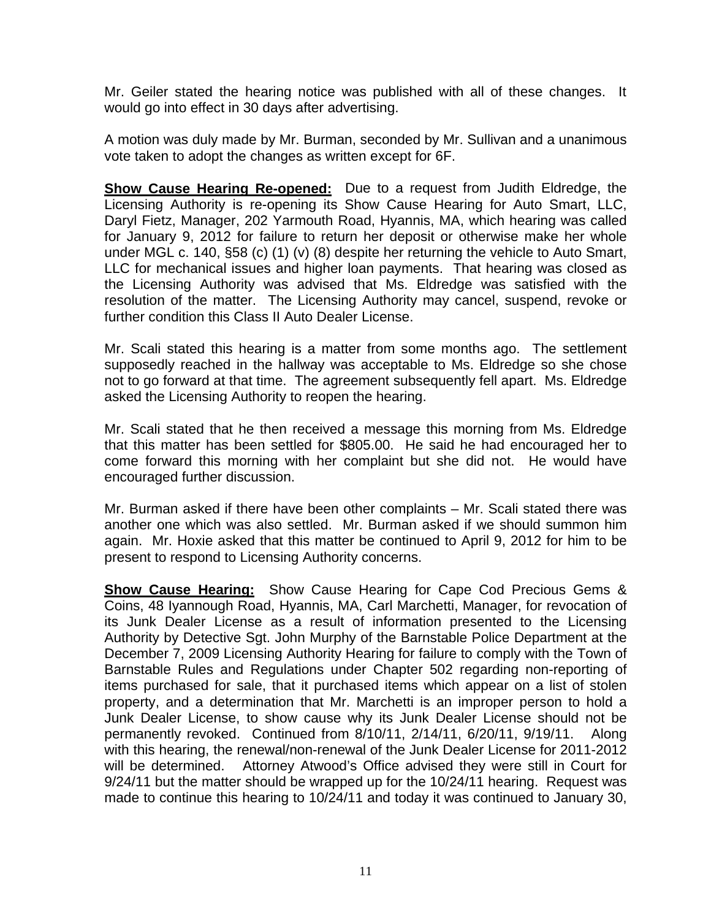Mr. Geiler stated the hearing notice was published with all of these changes. It would go into effect in 30 days after advertising.

A motion was duly made by Mr. Burman, seconded by Mr. Sullivan and a unanimous vote taken to adopt the changes as written except for 6F.

**Show Cause Hearing Re-opened:** Due to a request from Judith Eldredge, the Licensing Authority is re-opening its Show Cause Hearing for Auto Smart, LLC, Daryl Fietz, Manager, 202 Yarmouth Road, Hyannis, MA, which hearing was called for January 9, 2012 for failure to return her deposit or otherwise make her whole under MGL c. 140, §58 (c) (1) (v) (8) despite her returning the vehicle to Auto Smart, LLC for mechanical issues and higher loan payments. That hearing was closed as the Licensing Authority was advised that Ms. Eldredge was satisfied with the resolution of the matter. The Licensing Authority may cancel, suspend, revoke or further condition this Class II Auto Dealer License.

Mr. Scali stated this hearing is a matter from some months ago. The settlement supposedly reached in the hallway was acceptable to Ms. Eldredge so she chose not to go forward at that time. The agreement subsequently fell apart. Ms. Eldredge asked the Licensing Authority to reopen the hearing.

Mr. Scali stated that he then received a message this morning from Ms. Eldredge that this matter has been settled for \$805.00. He said he had encouraged her to come forward this morning with her complaint but she did not. He would have encouraged further discussion.

Mr. Burman asked if there have been other complaints – Mr. Scali stated there was another one which was also settled. Mr. Burman asked if we should summon him again. Mr. Hoxie asked that this matter be continued to April 9, 2012 for him to be present to respond to Licensing Authority concerns.

**Show Cause Hearing:** Show Cause Hearing for Cape Cod Precious Gems & Coins, 48 Iyannough Road, Hyannis, MA, Carl Marchetti, Manager, for revocation of its Junk Dealer License as a result of information presented to the Licensing Authority by Detective Sgt. John Murphy of the Barnstable Police Department at the December 7, 2009 Licensing Authority Hearing for failure to comply with the Town of Barnstable Rules and Regulations under Chapter 502 regarding non-reporting of items purchased for sale, that it purchased items which appear on a list of stolen property, and a determination that Mr. Marchetti is an improper person to hold a Junk Dealer License, to show cause why its Junk Dealer License should not be permanently revoked. Continued from 8/10/11, 2/14/11, 6/20/11, 9/19/11. Along with this hearing, the renewal/non-renewal of the Junk Dealer License for 2011-2012 will be determined. Attorney Atwood's Office advised they were still in Court for 9/24/11 but the matter should be wrapped up for the 10/24/11 hearing. Request was made to continue this hearing to 10/24/11 and today it was continued to January 30,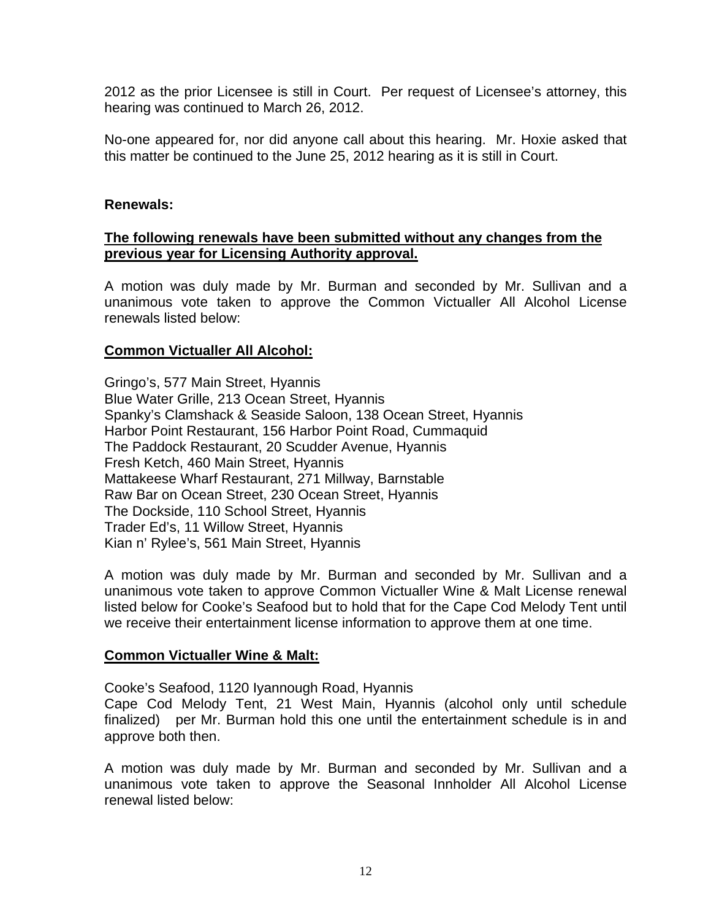2012 as the prior Licensee is still in Court. Per request of Licensee's attorney, this hearing was continued to March 26, 2012.

No-one appeared for, nor did anyone call about this hearing. Mr. Hoxie asked that this matter be continued to the June 25, 2012 hearing as it is still in Court.

#### **Renewals:**

# **The following renewals have been submitted without any changes from the previous year for Licensing Authority approval.**

A motion was duly made by Mr. Burman and seconded by Mr. Sullivan and a unanimous vote taken to approve the Common Victualler All Alcohol License renewals listed below:

#### **Common Victualler All Alcohol:**

Gringo's, 577 Main Street, Hyannis Blue Water Grille, 213 Ocean Street, Hyannis Spanky's Clamshack & Seaside Saloon, 138 Ocean Street, Hyannis Harbor Point Restaurant, 156 Harbor Point Road, Cummaquid The Paddock Restaurant, 20 Scudder Avenue, Hyannis Fresh Ketch, 460 Main Street, Hyannis Mattakeese Wharf Restaurant, 271 Millway, Barnstable Raw Bar on Ocean Street, 230 Ocean Street, Hyannis The Dockside, 110 School Street, Hyannis Trader Ed's, 11 Willow Street, Hyannis Kian n' Rylee's, 561 Main Street, Hyannis

A motion was duly made by Mr. Burman and seconded by Mr. Sullivan and a unanimous vote taken to approve Common Victualler Wine & Malt License renewal listed below for Cooke's Seafood but to hold that for the Cape Cod Melody Tent until we receive their entertainment license information to approve them at one time.

#### **Common Victualler Wine & Malt:**

Cooke's Seafood, 1120 Iyannough Road, Hyannis

Cape Cod Melody Tent, 21 West Main, Hyannis (alcohol only until schedule finalized) per Mr. Burman hold this one until the entertainment schedule is in and approve both then.

A motion was duly made by Mr. Burman and seconded by Mr. Sullivan and a unanimous vote taken to approve the Seasonal Innholder All Alcohol License renewal listed below: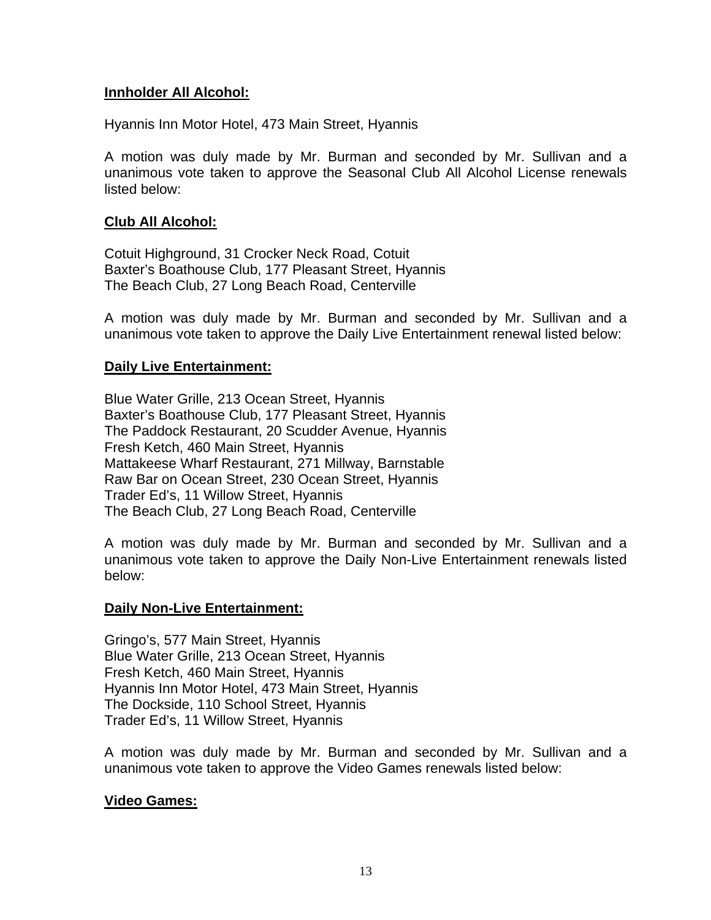# **Innholder All Alcohol:**

Hyannis Inn Motor Hotel, 473 Main Street, Hyannis

A motion was duly made by Mr. Burman and seconded by Mr. Sullivan and a unanimous vote taken to approve the Seasonal Club All Alcohol License renewals listed below:

# **Club All Alcohol:**

Cotuit Highground, 31 Crocker Neck Road, Cotuit Baxter's Boathouse Club, 177 Pleasant Street, Hyannis The Beach Club, 27 Long Beach Road, Centerville

A motion was duly made by Mr. Burman and seconded by Mr. Sullivan and a unanimous vote taken to approve the Daily Live Entertainment renewal listed below:

# **Daily Live Entertainment:**

Blue Water Grille, 213 Ocean Street, Hyannis Baxter's Boathouse Club, 177 Pleasant Street, Hyannis The Paddock Restaurant, 20 Scudder Avenue, Hyannis Fresh Ketch, 460 Main Street, Hyannis Mattakeese Wharf Restaurant, 271 Millway, Barnstable Raw Bar on Ocean Street, 230 Ocean Street, Hyannis Trader Ed's, 11 Willow Street, Hyannis The Beach Club, 27 Long Beach Road, Centerville

A motion was duly made by Mr. Burman and seconded by Mr. Sullivan and a unanimous vote taken to approve the Daily Non-Live Entertainment renewals listed below:

# **Daily Non-Live Entertainment:**

Gringo's, 577 Main Street, Hyannis Blue Water Grille, 213 Ocean Street, Hyannis Fresh Ketch, 460 Main Street, Hyannis Hyannis Inn Motor Hotel, 473 Main Street, Hyannis The Dockside, 110 School Street, Hyannis Trader Ed's, 11 Willow Street, Hyannis

A motion was duly made by Mr. Burman and seconded by Mr. Sullivan and a unanimous vote taken to approve the Video Games renewals listed below:

# **Video Games:**